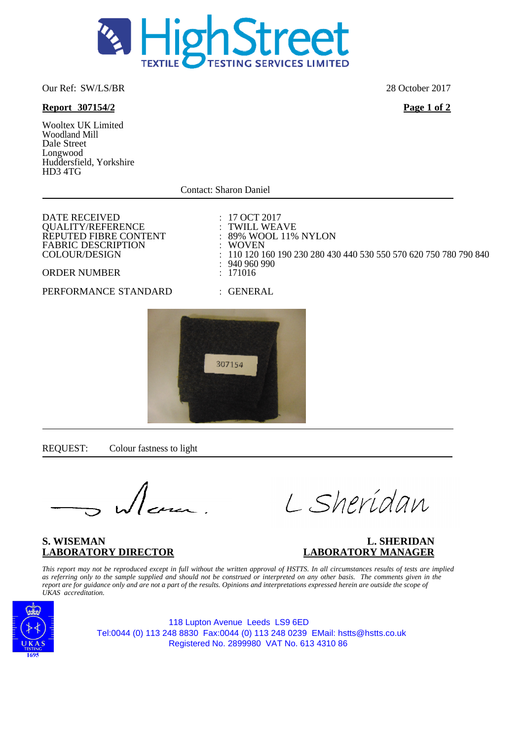

#### Our Ref: SW/LS/BR 28 October 2017

## **Report 307154/2 Page 1 of 2**

Wooltex UK Limited Woodland Mill Dale Street Longwood Huddersfield, Yorkshire HD3 4TG

Contact: Sharon Daniel

DATE RECEIVED<br>
OUALITY/REFERENCE
: 17 OCT 2017<br>
: TWILL WEAVE QUALITY/REFERENCE : TWILL WEAVE<br>REPUTED FIBRE CONTENT : 89% WOOL 11% NYLON REPUTED FIBRE CONTENT : 89% WO<br>FABRIC DESCRIPTION : WOVEN FABRIC DESCRIPTION :<br>COLOUR/DESIGN :

 $\therefore$  110 120 160 190 230 280 430 440 530 550 570 620 750 780 790 840<br> $\therefore$  940 960 990 :  $940\,960\,990$ <br>: 171016

### ORDER NUMBER

## PERFORMANCE STANDARD : GENERAL



REQUEST: Colour fastness to light

L Sheridan

## S. WISEMAN **L. SHERIDAN**<br>LABORATORY DIRECTOR **LABORATORY MANAGER LABORATORY DIRECTOR LABORATORY MANAGER**

*This report may not be reproduced except in full without the written approval of HSTTS. In all circumstances results of tests are implied as referring only to the sample supplied and should not be construed or interpreted on any other basis. The comments given in the report are for guidance only and are not a part of the results. Opinions and interpretations expressed herein are outside the scope of UKAS accreditation.*



118 Lupton Avenue Leeds LS9 6ED Tel:0044 (0) 113 248 8830 Fax:0044 (0) 113 248 0239 EMail: hstts@hstts.co.uk Registered No. 2899980 VAT No. 613 4310 86